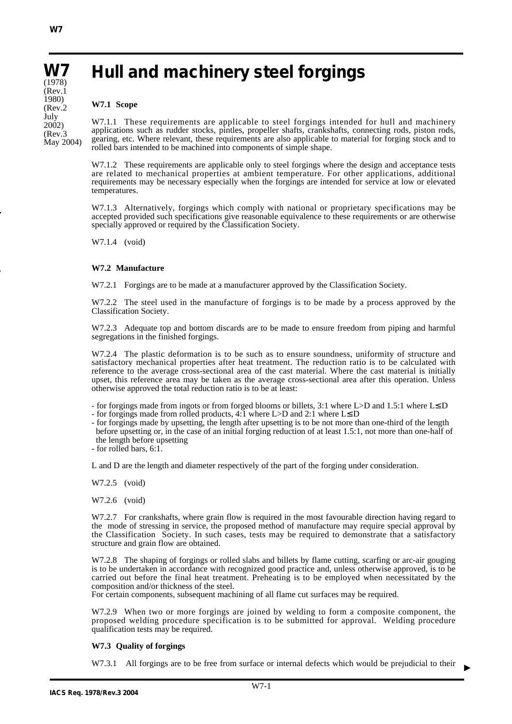**W7** (1978) (Rev.1 1980) (Rev.2 July 2002) (Rev.3 May 2004)

# **Hull and machinery steel forgings**

#### **W7.1 Scope**

W7.1.1 These requirements are applicable to steel forgings intended for hull and machinery applications such as rudder stocks, pintles, propeller shafts, crankshafts, connecting rods, piston rods, gearing, etc. Where relevant, these requirements are also applicable to material for forging stock and to rolled bars intended to be machined into components of simple shape.

W7.1.2 These requirements are applicable only to steel forgings where the design and acceptance tests are related to mechanical properties at ambient temperature. For other applications, additional requirements may be necessary especially when the forgings are intended for service at low or elevated temperatures.

W7.1.3 Alternatively, forgings which comply with national or proprietary specifications may be accepted provided such specifications give reasonable equivalence to these requirements or are otherwise specially approved or required by the Classification Society.

W7.1.4 (void)

## **W7.2 Manufacture**

W7.2.1 Forgings are to be made at a manufacturer approved by the Classification Society.

W7.2.2 The steel used in the manufacture of forgings is to be made by a process approved by the Classification Society.

W7.2.3 Adequate top and bottom discards are to be made to ensure freedom from piping and harmful segregations in the finished forgings.

W7.2.4 The plastic deformation is to be such as to ensure soundness, uniformity of structure and satisfactory mechanical properties after heat treatment. The reduction ratio is to be calculated with reference to the average cross-sectional area of the cast material. Where the cast material is initially upset, this reference area may be taken as the average cross-sectional area after this operation. Unless otherwise approved the total reduction ratio is to be at least:

- for forgings made from ingots or from forged blooms or billets, 3:1 where L>D and 1.5:1 where L≤ D
- for forgings made from rolled products, 4:1 where L>D and 2:1 where L≤ D
- for forgings made by upsetting, the length after upsetting is to be not more than one-third of the length before upsetting or, in the case of an initial forging reduction of at least 1.5:1, not more than one-half of the length before upsetting
- for rolled bars, 6:1.

L and D are the length and diameter respectively of the part of the forging under consideration.

W7.2.5 (void)

W7.2.6 (void)

W7.2.7 For crankshafts, where grain flow is required in the most favourable direction having regard to the mode of stressing in service, the proposed method of manufacture may require special approval by the Classification Society. In such cases, tests may be required to demonstrate that a satisfactory structure and grain flow are obtained.

W7.2.8 The shaping of forgings or rolled slabs and billets by flame cutting, scarfing or arc-air gouging is to be undertaken in accordance with recognized good practice and, unless otherwise approved, is to be carried out before the final heat treatment. Preheating is to be employed when necessitated by the composition and/or thickness of the steel.

For certain components, subsequent machining of all flame cut surfaces may be required.

W7.2.9 When two or more forgings are joined by welding to form a composite component, the proposed welding procedure specification is to be submitted for approval. Welding procedure qualification tests may be required.

#### **W7.3 Quality of forgings**

W7.3.1 All forgings are to be free from surface or internal defects which would be prejudicial to their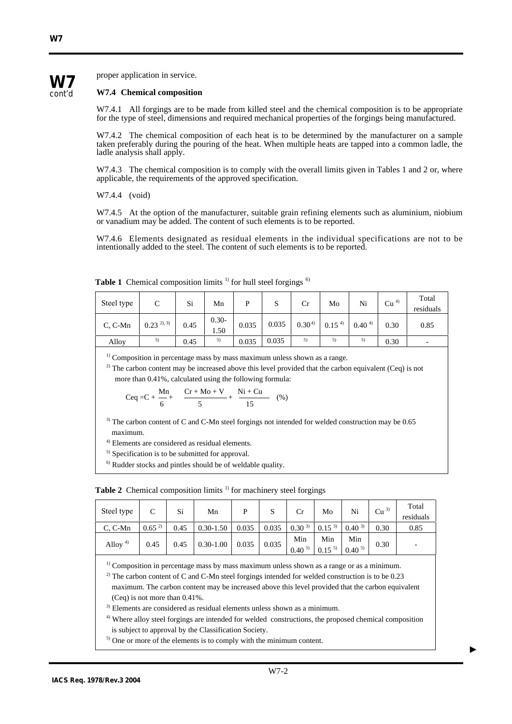

**W7**

proper application in service.

#### **W7.4 Chemical composition**

W7.4.1 All forgings are to be made from killed steel and the chemical composition is to be appropriate for the type of steel, dimensions and required mechanical properties of the forgings being manufactured.

W7.4.2 The chemical composition of each heat is to be determined by the manufacturer on a sample taken preferably during the pouring of the heat. When multiple heats are tapped into a common ladle, the ladle analysis shall apply.

W7.4.3 The chemical composition is to comply with the overall limits given in Tables 1 and 2 or, where applicable, the requirements of the approved specification.

W7.4.4 (void)

W7.4.5 At the option of the manufacturer, suitable grain refining elements such as aluminium, niobium or vanadium may be added. The content of such elements is to be reported.

W7.4.6 Elements designated as residual elements in the individual specifications are not to be intentionally added to the steel. The content of such elements is to be reported.

| Steel type | C               | Si   | Mn              | Þ     | S     | Сr         | Mo         | Ni         | Cu <sup>4</sup> | Total<br>residuals |
|------------|-----------------|------|-----------------|-------|-------|------------|------------|------------|-----------------|--------------------|
| $C, C-Mn$  | $0.23^{2}$ , 3) | 0.45 | $0.30-$<br>1.50 | 0.035 | 0.035 | $0.30^{4}$ | $0.15^{4}$ | $0.40^{4}$ | 0.30            | 0.85               |
| Alloy      | 5)              | 0.45 | 5)              | 0.035 | 0.035 | 5)         | 5)         | 5)         | 0.30            | -                  |

**Table 1** Chemical composition limits  $\frac{1}{1}$  for hull steel forgings  $\frac{6}{1}$ 

 $1)$  Composition in percentage mass by mass maximum unless shown as a range.

<sup>2)</sup> The carbon content may be increased above this level provided that the carbon equivalent (Ceq) is not

more than 0.41%, calculated using the following formula:  
\n
$$
Ceq = C + \frac{Mn}{6} + \frac{Cr + Mo + V}{5} + \frac{Ni + Cu}{15}
$$
 (%)

<sup>3)</sup> The carbon content of C and C-Mn steel forgings not intended for welded construction may be 0.65 maximum.

4) Elements are considered as residual elements.

 $<sup>5)</sup>$  Specification is to be submitted for approval.</sup>

6) Rudder stocks and pintles should be of weldable quality.

**Table 2** Chemical composition limits <sup>1)</sup> for machinery steel forgings

| Steel type  | $\mathcal{C}$ | Si   | Mn                              | S     | Cr                                                                                          | Mo  | Ni                | Cu <sup>3</sup> | Total<br>residuals |
|-------------|---------------|------|---------------------------------|-------|---------------------------------------------------------------------------------------------|-----|-------------------|-----------------|--------------------|
| $C. C-Mn$   | $0.65^{2}$    | 0.45 | $0.30 - 1.50$ 0.035             | 0.035 | $\begin{array}{ c c c c c c c c } \hline 0.30^{3} & 0.15^{3} & 0.40^{3} \hline \end{array}$ |     |                   | 0.30            | 0.85               |
| Alloy $4$ ) | 0.45          | 0.45 | $\vert 0.30 - 1.00 \vert 0.035$ | 0.035 | Min<br>$0.40^{5}$ 0.15 <sup>5</sup>                                                         | Min | Min<br>$0.40^{5}$ | 0.30            |                    |

 $<sup>1)</sup>$  Composition in percentage mass by mass maximum unless shown as a range or as a minimum.</sup>

<sup>2)</sup> The carbon content of C and C-Mn steel forgings intended for welded construction is to be 0.23

maximum. The carbon content may be increased above this level provided that the carbon equivalent (Ceq) is not more than 0.41%.

<sup>3)</sup> Elements are considered as residual elements unless shown as a minimum.

4) Where alloy steel forgings are intended for welded constructions, the proposed chemical composition is subject to approval by the Classification Society.

<sup>5)</sup> One or more of the elements is to comply with the minimum content.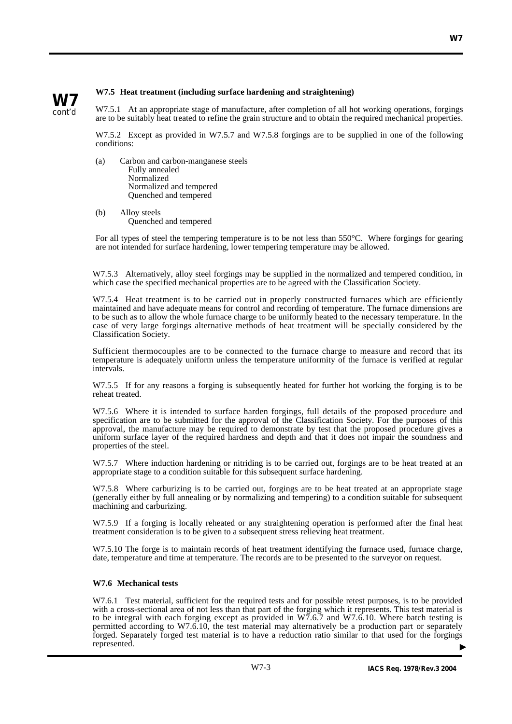

## **W7.5 Heat treatment (including surface hardening and straightening)**

W7.5.1 At an appropriate stage of manufacture, after completion of all hot working operations, forgings are to be suitably heat treated to refine the grain structure and to obtain the required mechanical properties.

W7.5.2 Except as provided in W7.5.7 and W7.5.8 forgings are to be supplied in one of the following conditions:

- (a) Carbon and carbon-manganese steels Fully annealed Normalized Normalized and tempered Quenched and tempered
- (b) Alloy steels Quenched and tempered

For all types of steel the tempering temperature is to be not less than 550°C. Where forgings for gearing are not intended for surface hardening, lower tempering temperature may be allowed.

W7.5.3 Alternatively, alloy steel forgings may be supplied in the normalized and tempered condition, in which case the specified mechanical properties are to be agreed with the Classification Society.

W7.5.4 Heat treatment is to be carried out in properly constructed furnaces which are efficiently maintained and have adequate means for control and recording of temperature. The furnace dimensions are to be such as to allow the whole furnace charge to be uniformly heated to the necessary temperature. In the case of very large forgings alternative methods of heat treatment will be specially considered by the Classification Society.

Sufficient thermocouples are to be connected to the furnace charge to measure and record that its temperature is adequately uniform unless the temperature uniformity of the furnace is verified at regular intervals.

W7.5.5 If for any reasons a forging is subsequently heated for further hot working the forging is to be reheat treated.

W7.5.6 Where it is intended to surface harden forgings, full details of the proposed procedure and specification are to be submitted for the approval of the Classification Society. For the purposes of this approval, the manufacture may be required to demonstrate by test that the proposed procedure gives a uniform surface layer of the required hardness and depth and that it does not impair the soundness and properties of the steel.

W7.5.7 Where induction hardening or nitriding is to be carried out, forgings are to be heat treated at an appropriate stage to a condition suitable for this subsequent surface hardening.

W7.5.8 Where carburizing is to be carried out, forgings are to be heat treated at an appropriate stage (generally either by full annealing or by normalizing and tempering) to a condition suitable for subsequent machining and carburizing.

W7.5.9 If a forging is locally reheated or any straightening operation is performed after the final heat treatment consideration is to be given to a subsequent stress relieving heat treatment.

W7.5.10 The forge is to maintain records of heat treatment identifying the furnace used, furnace charge, date, temperature and time at temperature. The records are to be presented to the surveyor on request.

## **W7.6 Mechanical tests**

W7.6.1 Test material, sufficient for the required tests and for possible retest purposes, is to be provided with a cross-sectional area of not less than that part of the forging which it represents. This test material is to be integral with each forging except as provided in W7.6.7 and W7.6.10. Where batch testing is permitted according to W7.6.10, the test material may alternatively be a production part or separately forged. Separately forged test material is to have a reduction ratio similar to that used for the forgings represented. ▲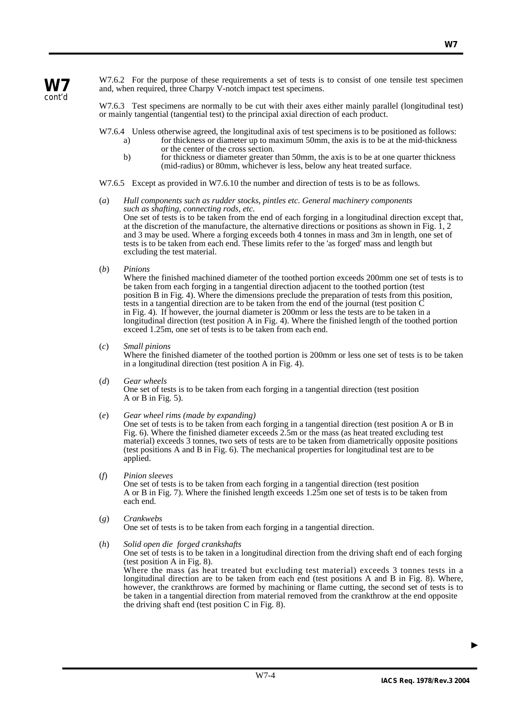W7.6.2 For the purpose of these requirements a set of tests is to consist of one tensile test specimen and, when required, three Charpy V-notch impact test specimens.

W7.6.3 Test specimens are normally to be cut with their axes either mainly parallel (longitudinal test) or mainly tangential (tangential test) to the principal axial direction of each product.

W7.6.4 Unless otherwise agreed, the longitudinal axis of test specimens is to be positioned as follows:

- a) for thickness or diameter up to maximum 50mm, the axis is to be at the mid-thickness or the center of the cross section.
- b) for thickness or diameter greater than 50mm, the axis is to be at one quarter thickness (mid-radius) or 80mm, whichever is less, below any heat treated surface.

W7.6.5 Except as provided in W7.6.10 the number and direction of tests is to be as follows.

- (*a*) *Hull components such as rudder stocks, pintles etc. General machinery components such as shafting, connecting rods, etc.* One set of tests is to be taken from the end of each forging in a longitudinal direction except that, at the discretion of the manufacture, the alternative directions or positions as shown in Fig. 1, 2 and 3 may be used. Where a forging exceeds both 4 tonnes in mass and 3m in length, one set of tests is to be taken from each end. These limits refer to the 'as forged' mass and length but excluding the test material.
- (*b*) *Pinions*

Where the finished machined diameter of the toothed portion exceeds 200mm one set of tests is to be taken from each forging in a tangential direction adjacent to the toothed portion (test position B in Fig. 4). Where the dimensions preclude the preparation of tests from this position, tests in a tangential direction are to be taken from the end of the journal (test position C in Fig. 4). If however, the journal diameter is 200mm or less the tests are to be taken in a longitudinal direction (test position A in Fig. 4). Where the finished length of the toothed portion exceed 1.25m, one set of tests is to be taken from each end.

(*c*) *Small pinions*

Where the finished diameter of the toothed portion is 200mm or less one set of tests is to be taken in a longitudinal direction (test position A in Fig. 4).

- (*d*) *Gear wheels* One set of tests is to be taken from each forging in a tangential direction (test position A or B in Fig. 5).
- (*e*) *Gear wheel rims (made by expanding)*

One set of tests is to be taken from each forging in a tangential direction (test position A or B in Fig. 6). Where the finished diameter exceeds 2.5m or the mass (as heat treated excluding test material) exceeds 3 tonnes, two sets of tests are to be taken from diametrically opposite positions (test positions A and B in Fig. 6). The mechanical properties for longitudinal test are to be applied.

(*f*) *Pinion sleeves*

One set of tests is to be taken from each forging in a tangential direction (test position A or B in Fig. 7). Where the finished length exceeds 1.25m one set of tests is to be taken from each end.

(*g*) *Crankwebs* One set of tests is to be taken from each forging in a tangential direction.

(*h*) *Solid open die forged crankshafts*

One set of tests is to be taken in a longitudinal direction from the driving shaft end of each forging (test position A in Fig. 8).

Where the mass (as heat treated but excluding test material) exceeds 3 tonnes tests in a longitudinal direction are to be taken from each end (test positions A and B in Fig. 8). Where, however, the crankthrows are formed by machining or flame cutting, the second set of tests is to be taken in a tangential direction from material removed from the crankthrow at the end opposite the driving shaft end (test position C in Fig. 8).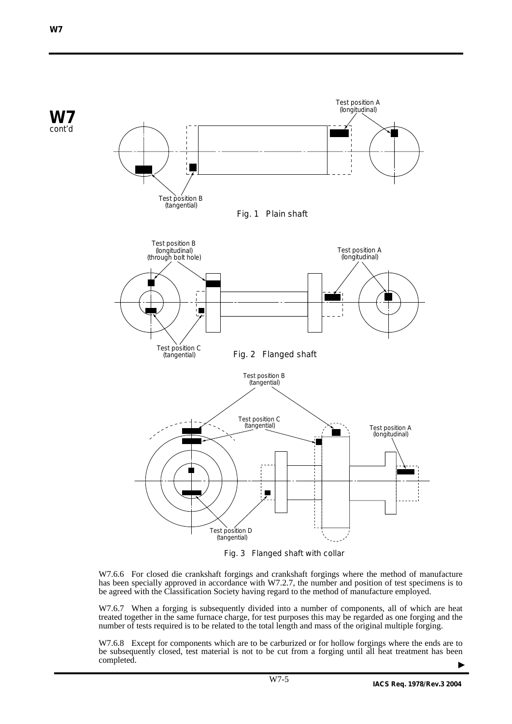

Fig. 3 Flanged shaft with collar

W7.6.6 For closed die crankshaft forgings and crankshaft forgings where the method of manufacture has been specially approved in accordance with W7.2.7, the number and position of test specimens is to be agreed with the Classification Society having regard to the method of manufacture employed.

W7.6.7 When a forging is subsequently divided into a number of components, all of which are heat treated together in the same furnace charge, for test purposes this may be regarded as one forging and the number of tests required is to be related to the total length and mass of the original multiple forging.

W7.6.8 Except for components which are to be carburized or for hollow forgings where the ends are to be subsequently closed, test material is not to be cut from a forging until all heat treatment has been completed. ▲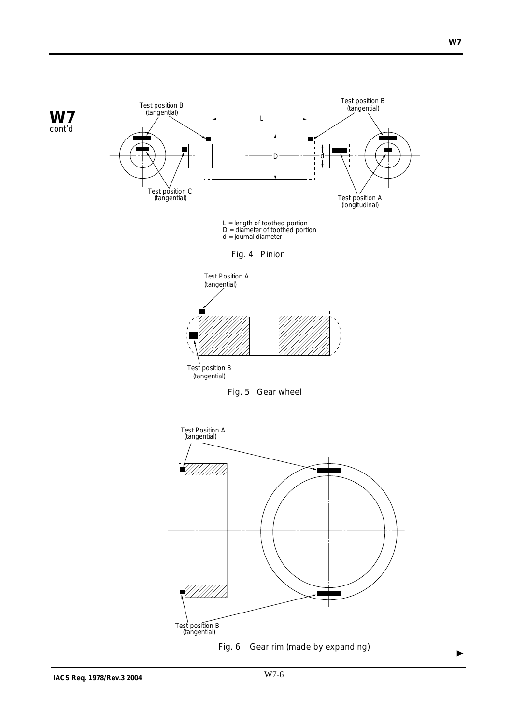

 $\blacktriangleright$ 

Fig. 6 Gear rim (made by expanding)

Test position B (tangential)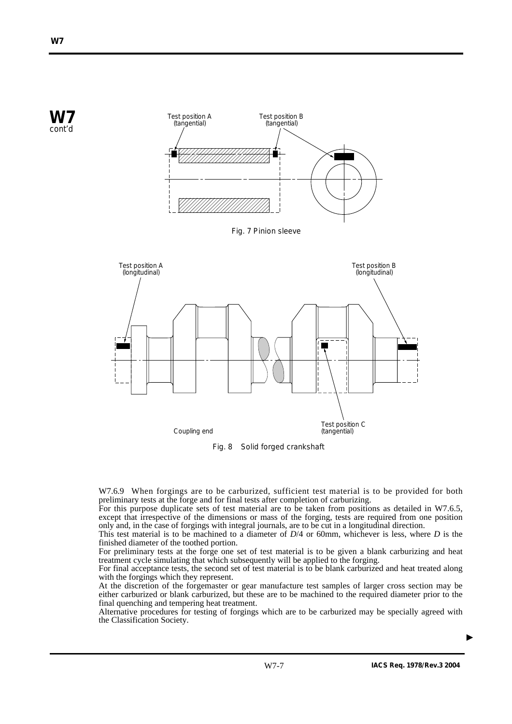

Fig. 8 Solid forged crankshaft

W7.6.9 When forgings are to be carburized, sufficient test material is to be provided for both preliminary tests at the forge and for final tests after completion of carburizing.

For this purpose duplicate sets of test material are to be taken from positions as detailed in W7.6.5, except that irrespective of the dimensions or mass of the forging, tests are required from one position only and, in the case of forgings with integral journals, are to be cut in a longitudinal direction.

This test material is to be machined to a diameter of *D*/4 or 60mm, whichever is less, where *D* is the finished diameter of the toothed portion.

For preliminary tests at the forge one set of test material is to be given a blank carburizing and heat treatment cycle simulating that which subsequently will be applied to the forging.

For final acceptance tests, the second set of test material is to be blank carburized and heat treated along with the forgings which they represent.

At the discretion of the forgemaster or gear manufacture test samples of larger cross section may be either carburized or blank carburized, but these are to be machined to the required diameter prior to the final quenching and tempering heat treatment.

Alternative procedures for testing of forgings which are to be carburized may be specially agreed with the Classification Society.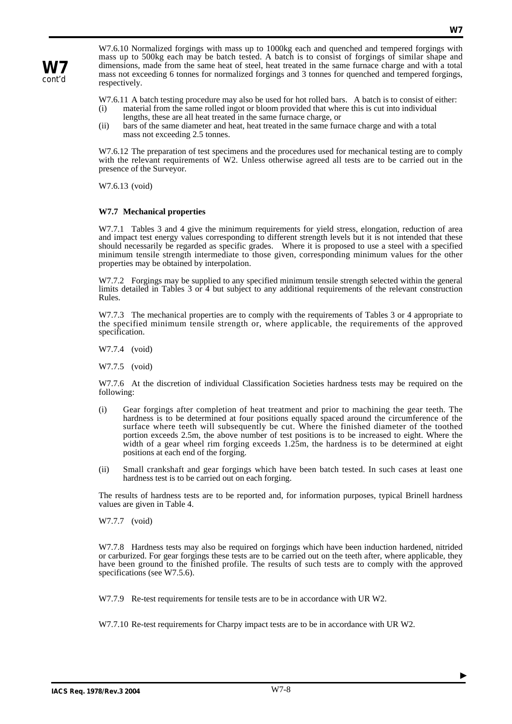**W7** cont'd

W7.6.10 Normalized forgings with mass up to 1000kg each and quenched and tempered forgings with mass up to 500kg each may be batch tested. A batch is to consist of forgings of similar shape and dimensions, made from the same heat of steel, heat treated in the same furnace charge and with a total mass not exceeding 6 tonnes for normalized forgings and 3 tonnes for quenched and tempered forgings, respectively.

W7.6.11 A batch testing procedure may also be used for hot rolled bars. A batch is to consist of either:

- (i) material from the same rolled ingot or bloom provided that where this is cut into individual lengths, these are all heat treated in the same furnace charge, or
- (ii) bars of the same diameter and heat, heat treated in the same furnace charge and with a total mass not exceeding 2.5 tonnes.

W7.6.12 The preparation of test specimens and the procedures used for mechanical testing are to comply with the relevant requirements of W2. Unless otherwise agreed all tests are to be carried out in the presence of the Surveyor.

W7.6.13 (void)

## **W7.7 Mechanical properties**

W7.7.1 Tables 3 and 4 give the minimum requirements for yield stress, elongation, reduction of area and impact test energy values corresponding to different strength levels but it is not intended that these should necessarily be regarded as specific grades. Where it is proposed to use a steel with a specified minimum tensile strength intermediate to those given, corresponding minimum values for the other properties may be obtained by interpolation.

W7.7.2 Forgings may be supplied to any specified minimum tensile strength selected within the general limits detailed in Tables 3 or 4 but subject to any additional requirements of the relevant construction Rules.

W7.7.3 The mechanical properties are to comply with the requirements of Tables 3 or 4 appropriate to the specified minimum tensile strength or, where applicable, the requirements of the approved specification.

W7.7.4 (void)

W7.7.5 (void)

W7.7.6 At the discretion of individual Classification Societies hardness tests may be required on the following:

- (i) Gear forgings after completion of heat treatment and prior to machining the gear teeth. The hardness is to be determined at four positions equally spaced around the circumference of the surface where teeth will subsequently be cut. Where the finished diameter of the toothed portion exceeds 2.5m, the above number of test positions is to be increased to eight. Where the width of a gear wheel rim forging exceeds 1.25m, the hardness is to be determined at eight positions at each end of the forging.
- (ii) Small crankshaft and gear forgings which have been batch tested. In such cases at least one hardness test is to be carried out on each forging.

The results of hardness tests are to be reported and, for information purposes, typical Brinell hardness values are given in Table 4.

W7.7.7 (void)

W7.7.8 Hardness tests may also be required on forgings which have been induction hardened, nitrided or carburized. For gear forgings these tests are to be carried out on the teeth after, where applicable, they have been ground to the finished profile. The results of such tests are to comply with the approved specifications (see W7.5.6).

W7.7.9 Re-test requirements for tensile tests are to be in accordance with UR W2.

W7.7.10 Re-test requirements for Charpy impact tests are to be in accordance with UR W2.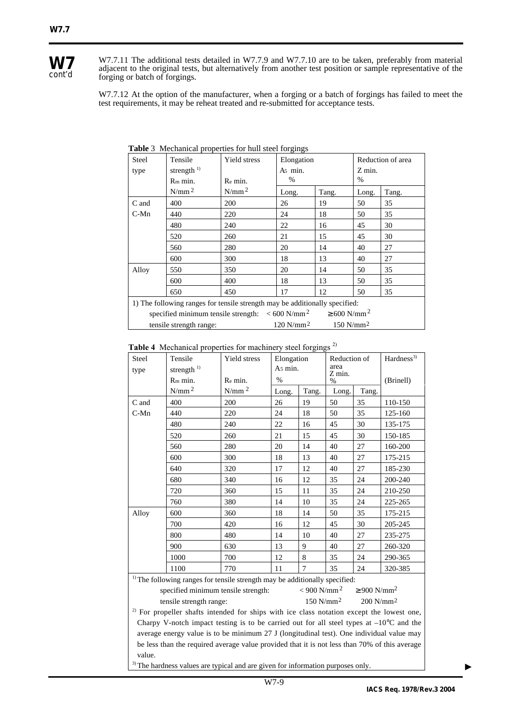

W7.7.11 The additional tests detailed in W7.7.9 and W7.7.10 are to be taken, preferably from material adjacent to the original tests, but alternatively from another test position or sample representative of the forging or batch of forgings.

W7.7.12 At the option of the manufacturer, when a forging or a batch of forgings has failed to meet the test requirements, it may be reheat treated and re-submitted for acceptance tests.

| Steel                                                                                  | Tensile                 | Yield stress | Elongation                                       |       | Reduction of area |       |  |  |  |
|----------------------------------------------------------------------------------------|-------------------------|--------------|--------------------------------------------------|-------|-------------------|-------|--|--|--|
| type                                                                                   | strength $1)$           |              | A <sub>5</sub> min.                              |       | Z min.            |       |  |  |  |
|                                                                                        | $Rm$ min.               | Re min.      | $\%$                                             |       | $\%$              |       |  |  |  |
|                                                                                        | $N/mm^2$                | $N/mm^2$     | Long.                                            | Tang. | Long.             | Tang. |  |  |  |
| C and                                                                                  | 400                     | <b>200</b>   | 26                                               | 19    | 50                | 35    |  |  |  |
| $C-Mn$                                                                                 | 440                     | 220          | 24                                               | 18    | 50                | 35    |  |  |  |
|                                                                                        | 480                     | 240          | 22                                               | 16    | 45                | 30    |  |  |  |
|                                                                                        | 520<br>260              |              | 21                                               | 15    | 45                | 30    |  |  |  |
|                                                                                        | 560                     | 280          | 20                                               | 14    | 40                | 27    |  |  |  |
|                                                                                        | 600                     | 300          | 18                                               | 13    | 40                | 27    |  |  |  |
| Alloy                                                                                  | 550                     | 350          | 20                                               | 14    | 50                | 35    |  |  |  |
|                                                                                        | 600                     | 400          | 18                                               | 13    | 50                | 35    |  |  |  |
|                                                                                        | 650                     | 450          | 17                                               | 12    | 50                | 35    |  |  |  |
| 1) The following ranges for tensile strength may be additionally specified:            |                         |              |                                                  |       |                   |       |  |  |  |
| specified minimum tensile strength: $\lt 600 \text{ N/mm}^2$ $\geq 600 \text{ N/mm}^2$ |                         |              |                                                  |       |                   |       |  |  |  |
|                                                                                        | tensile strength range: |              | 120 N/mm <sup>2</sup><br>$150$ N/mm <sup>2</sup> |       |                   |       |  |  |  |

**Table** 3Mechanical properties for hull steel forgings

| Table 4 Mechanical properties for machinery steel forgings <sup>2)</sup> |
|--------------------------------------------------------------------------|
|--------------------------------------------------------------------------|

| Steel                                                                                                | <b>Radio +</b> International properties for machinery sieer forgings<br>Hardness <sup>3)</sup><br>Tensile<br>Yield stress<br>Elongation<br>Reduction of |             |       |                        |       |           |         |  |  |
|------------------------------------------------------------------------------------------------------|---------------------------------------------------------------------------------------------------------------------------------------------------------|-------------|-------|------------------------|-------|-----------|---------|--|--|
| type                                                                                                 | strength $^{1)}$                                                                                                                                        | As min.     |       | area<br>Z min.<br>$\%$ |       |           |         |  |  |
|                                                                                                      | R <sub>m</sub> min.<br>Re min.                                                                                                                          |             | $\%$  |                        |       | (Brinell) |         |  |  |
|                                                                                                      | $N/mm^2$                                                                                                                                                | $N/mm$ $^2$ | Long. | Tang.                  | Long. | Tang.     |         |  |  |
| C and                                                                                                | 400                                                                                                                                                     | 200         | 26    | 19                     | 50    | 35        | 110-150 |  |  |
| $C-Mn$                                                                                               | 440                                                                                                                                                     | 220         | 24    | 18                     | 50    | 35        | 125-160 |  |  |
|                                                                                                      | 480                                                                                                                                                     | 240         | 22    | 16                     | 45    | 30        | 135-175 |  |  |
|                                                                                                      | 520                                                                                                                                                     | 260         | 21    | 15                     | 45    | 30        | 150-185 |  |  |
|                                                                                                      | 560                                                                                                                                                     | 280         | 20    | 14                     | 40    | 27        | 160-200 |  |  |
|                                                                                                      | 600                                                                                                                                                     | 300         | 18    | 13                     | 40    | 27        | 175-215 |  |  |
|                                                                                                      | 640                                                                                                                                                     | 320         | 17    | 12                     | 40    | 27        | 185-230 |  |  |
|                                                                                                      | 680                                                                                                                                                     | 340         | 16    | 12                     | 35    | 24        | 200-240 |  |  |
|                                                                                                      | 720                                                                                                                                                     | 360         | 15    | 11                     | 35    | 24        | 210-250 |  |  |
|                                                                                                      | 760                                                                                                                                                     | 380         | 14    | 10                     | 35    | 24        | 225-265 |  |  |
| Alloy                                                                                                | 600                                                                                                                                                     | 360         | 18    | 14                     | 50    | 35        | 175-215 |  |  |
|                                                                                                      | 700                                                                                                                                                     | 420         | 16    | 12                     | 45    | 30        | 205-245 |  |  |
|                                                                                                      | 800                                                                                                                                                     | 480         | 14    | 10                     | 40    | 27        | 235-275 |  |  |
|                                                                                                      | 900                                                                                                                                                     | 630         | 13    | 9                      | 40    | 27        | 260-320 |  |  |
|                                                                                                      | 1000                                                                                                                                                    | 700         | 12    | 8                      | 35    | 24        | 290-365 |  |  |
|                                                                                                      | 1100                                                                                                                                                    | 770         | 11    | $\overline{7}$         | 35    | 24        | 320-385 |  |  |
| <sup>1)</sup> The following ranges for tensile strength may be additionally specified:               |                                                                                                                                                         |             |       |                        |       |           |         |  |  |
| $< 900$ N/mm <sup>2</sup><br>$\geq 900$ N/mm <sup>2</sup><br>specified minimum tensile strength:     |                                                                                                                                                         |             |       |                        |       |           |         |  |  |
| $150$ N/mm <sup>2</sup><br>$200$ N/mm <sup>2</sup><br>tensile strength range:                        |                                                                                                                                                         |             |       |                        |       |           |         |  |  |
| <sup>2)</sup> For propeller shafts intended for ships with ice class notation except the lowest one, |                                                                                                                                                         |             |       |                        |       |           |         |  |  |
| Charpy V-notch impact testing is to be carried out for all steel types at $-10^{\circ}$ C and the    |                                                                                                                                                         |             |       |                        |       |           |         |  |  |
| average energy value is to be minimum 27 J (longitudinal test). One individual value may             |                                                                                                                                                         |             |       |                        |       |           |         |  |  |
| be less than the required average value provided that it is not less than 70% of this average        |                                                                                                                                                         |             |       |                        |       |           |         |  |  |
| value.                                                                                               |                                                                                                                                                         |             |       |                        |       |           |         |  |  |
| <sup>3)</sup> The hardness values are typical and are given for information purposes only.           |                                                                                                                                                         |             |       |                        |       |           |         |  |  |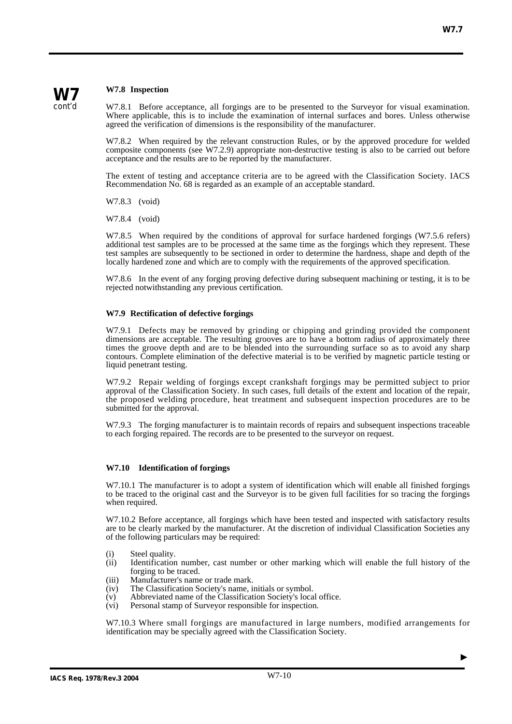## **W7.8 Inspection**

**W7** cont'd

W7.8.1 Before acceptance, all forgings are to be presented to the Surveyor for visual examination. Where applicable, this is to include the examination of internal surfaces and bores. Unless otherwise agreed the verification of dimensions is the responsibility of the manufacturer.

W7.8.2 When required by the relevant construction Rules, or by the approved procedure for welded composite components (see W7.2.9) appropriate non-destructive testing is also to be carried out before acceptance and the results are to be reported by the manufacturer.

The extent of testing and acceptance criteria are to be agreed with the Classification Society. IACS Recommendation No. 68 is regarded as an example of an acceptable standard.

W7.8.3 (void)

W7.8.4 (void)

W7.8.5 When required by the conditions of approval for surface hardened forgings (W7.5.6 refers) additional test samples are to be processed at the same time as the forgings which they represent. These test samples are subsequently to be sectioned in order to determine the hardness, shape and depth of the locally hardened zone and which are to comply with the requirements of the approved specification.

W7.8.6 In the event of any forging proving defective during subsequent machining or testing, it is to be rejected notwithstanding any previous certification.

#### **W7.9 Rectification of defective forgings**

W7.9.1 Defects may be removed by grinding or chipping and grinding provided the component dimensions are acceptable. The resulting grooves are to have a bottom radius of approximately three times the groove depth and are to be blended into the surrounding surface so as to avoid any sharp contours. Complete elimination of the defective material is to be verified by magnetic particle testing or liquid penetrant testing.

W7.9.2 Repair welding of forgings except crankshaft forgings may be permitted subject to prior approval of the Classification Society. In such cases, full details of the extent and location of the repair, the proposed welding procedure, heat treatment and subsequent inspection procedures are to be submitted for the approval.

W7.9.3 The forging manufacturer is to maintain records of repairs and subsequent inspections traceable to each forging repaired. The records are to be presented to the surveyor on request.

#### **W7.10 Identification of forgings**

W7.10.1 The manufacturer is to adopt a system of identification which will enable all finished forgings to be traced to the original cast and the Surveyor is to be given full facilities for so tracing the forgings when required.

W7.10.2 Before acceptance, all forgings which have been tested and inspected with satisfactory results are to be clearly marked by the manufacturer. At the discretion of individual Classification Societies any of the following particulars may be required:

- (i) Steel quality.<br>(ii) Identification
- Identification number, cast number or other marking which will enable the full history of the forging to be traced.
- (iii) Manufacturer's name or trade mark.<br>(iv) The Classification Society's name, i
- The Classification Society's name, initials or symbol.
- (v) Abbreviated name of the Classification Society's local office.<br>(vi) Personal stamp of Surveyor responsible for inspection.
- Personal stamp of Surveyor responsible for inspection.

W7.10.3 Where small forgings are manufactured in large numbers, modified arrangements for identification may be specially agreed with the Classification Society.